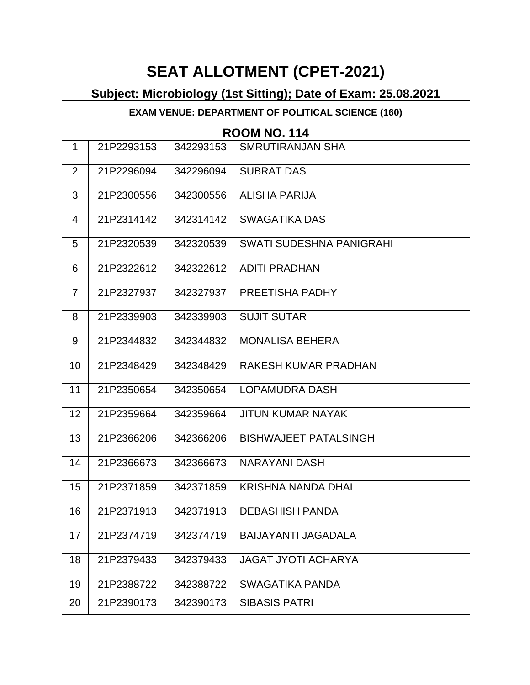# **SEAT ALLOTMENT (CPET-2021)**

|                | <b>EXAM VENUE: DEPARTMENT OF POLITICAL SCIENCE (160)</b> |           |                                 |  |  |
|----------------|----------------------------------------------------------|-----------|---------------------------------|--|--|
|                | <b>ROOM NO. 114</b>                                      |           |                                 |  |  |
| $\mathbf{1}$   | 21P2293153                                               | 342293153 | <b>SMRUTIRANJAN SHA</b>         |  |  |
| $\overline{2}$ | 21P2296094                                               | 342296094 | <b>SUBRAT DAS</b>               |  |  |
| 3              | 21P2300556                                               | 342300556 | <b>ALISHA PARIJA</b>            |  |  |
| $\overline{4}$ | 21P2314142                                               | 342314142 | <b>SWAGATIKA DAS</b>            |  |  |
| 5              | 21P2320539                                               | 342320539 | <b>SWATI SUDESHNA PANIGRAHI</b> |  |  |
| 6              | 21P2322612                                               | 342322612 | <b>ADITI PRADHAN</b>            |  |  |
| $\overline{7}$ | 21P2327937                                               | 342327937 | PREETISHA PADHY                 |  |  |
| 8              | 21P2339903                                               | 342339903 | <b>SUJIT SUTAR</b>              |  |  |
| 9              | 21P2344832                                               | 342344832 | <b>MONALISA BEHERA</b>          |  |  |
| 10             | 21P2348429                                               | 342348429 | RAKESH KUMAR PRADHAN            |  |  |
| 11             | 21P2350654                                               | 342350654 | <b>LOPAMUDRA DASH</b>           |  |  |
| 12             | 21P2359664                                               | 342359664 | <b>JITUN KUMAR NAYAK</b>        |  |  |
| 13             | 21P2366206                                               | 342366206 | <b>BISHWAJEET PATALSINGH</b>    |  |  |
| 14             | 21P2366673                                               | 342366673 | <b>NARAYANI DASH</b>            |  |  |
| 15             | 21P2371859                                               | 342371859 | <b>KRISHNA NANDA DHAL</b>       |  |  |
| 16             | 21P2371913                                               | 342371913 | <b>DEBASHISH PANDA</b>          |  |  |
| 17             | 21P2374719                                               | 342374719 | <b>BAIJAYANTI JAGADALA</b>      |  |  |
| 18             | 21P2379433                                               | 342379433 | <b>JAGAT JYOTI ACHARYA</b>      |  |  |
| 19             | 21P2388722                                               | 342388722 | <b>SWAGATIKA PANDA</b>          |  |  |
| 20             | 21P2390173                                               | 342390173 | <b>SIBASIS PATRI</b>            |  |  |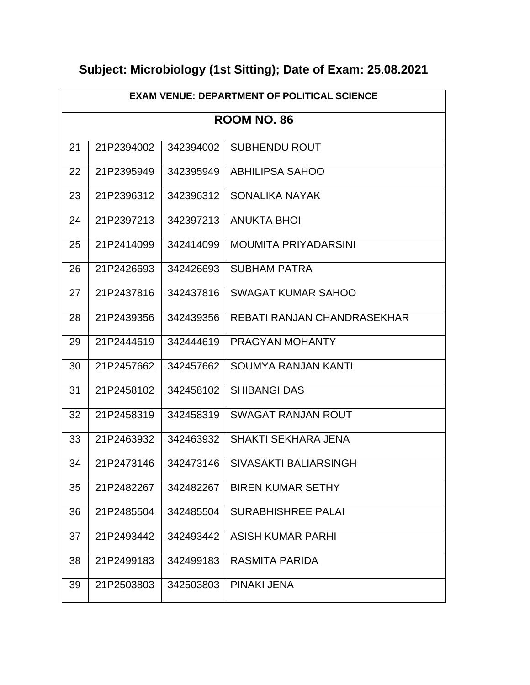| <b>EXAM VENUE: DEPARTMENT OF POLITICAL SCIENCE</b> |                    |           |                             |  |  |
|----------------------------------------------------|--------------------|-----------|-----------------------------|--|--|
|                                                    | <b>ROOM NO. 86</b> |           |                             |  |  |
| 21                                                 | 21P2394002         | 342394002 | <b>SUBHENDU ROUT</b>        |  |  |
| 22                                                 | 21P2395949         | 342395949 | ABHILIPSA SAHOO             |  |  |
| 23                                                 | 21P2396312         | 342396312 | SONALIKA NAYAK              |  |  |
| 24                                                 | 21P2397213         | 342397213 | ANUKTA BHOI                 |  |  |
| 25                                                 | 21P2414099         | 342414099 | <b>MOUMITA PRIYADARSINI</b> |  |  |
| 26                                                 | 21P2426693         | 342426693 | <b>SUBHAM PATRA</b>         |  |  |
| 27                                                 | 21P2437816         | 342437816 | <b>SWAGAT KUMAR SAHOO</b>   |  |  |
| 28                                                 | 21P2439356         | 342439356 | REBATI RANJAN CHANDRASEKHAR |  |  |
| 29                                                 | 21P2444619         | 342444619 | PRAGYAN MOHANTY             |  |  |
| 30                                                 | 21P2457662         | 342457662 | SOUMYA RANJAN KANTI         |  |  |
| 31                                                 | 21P2458102         | 342458102 | <b>SHIBANGI DAS</b>         |  |  |
| 32                                                 | 21P2458319         | 342458319 | SWAGAT RANJAN ROUT          |  |  |
| 33                                                 | 21P2463932         | 342463932 | <b>SHAKTI SEKHARA JENA</b>  |  |  |
| 34                                                 | 21P2473146         | 342473146 | SIVASAKTI BALIARSINGH       |  |  |
| 35                                                 | 21P2482267         | 342482267 | <b>BIREN KUMAR SETHY</b>    |  |  |
| 36                                                 | 21P2485504         | 342485504 | <b>SURABHISHREE PALAI</b>   |  |  |
| 37                                                 | 21P2493442         | 342493442 | <b>ASISH KUMAR PARHI</b>    |  |  |
| 38                                                 | 21P2499183         | 342499183 | <b>RASMITA PARIDA</b>       |  |  |
| 39                                                 | 21P2503803         | 342503803 | PINAKI JENA                 |  |  |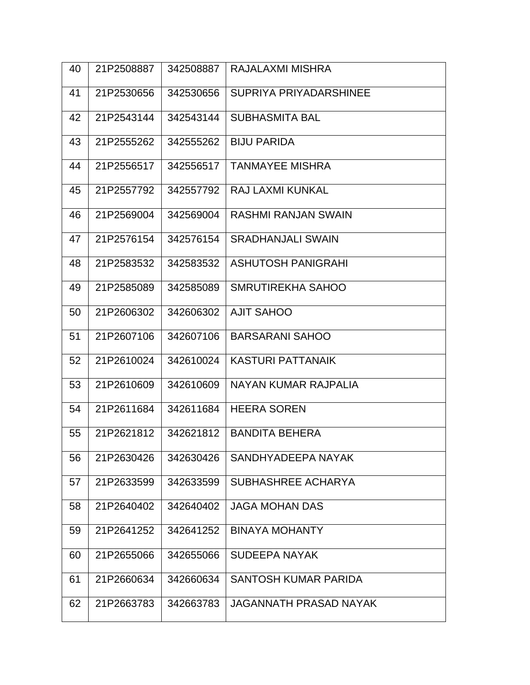| 40 | 21P2508887 | 342508887 | RAJALAXMI MISHRA            |
|----|------------|-----------|-----------------------------|
| 41 | 21P2530656 | 342530656 | SUPRIYA PRIYADARSHINEE      |
| 42 | 21P2543144 | 342543144 | <b>SUBHASMITA BAL</b>       |
| 43 | 21P2555262 | 342555262 | <b>BIJU PARIDA</b>          |
| 44 | 21P2556517 | 342556517 | <b>TANMAYEE MISHRA</b>      |
| 45 | 21P2557792 | 342557792 | RAJ LAXMI KUNKAL            |
| 46 | 21P2569004 | 342569004 | <b>RASHMI RANJAN SWAIN</b>  |
| 47 | 21P2576154 | 342576154 | <b>SRADHANJALI SWAIN</b>    |
| 48 | 21P2583532 | 342583532 | <b>ASHUTOSH PANIGRAHI</b>   |
| 49 | 21P2585089 | 342585089 | SMRUTIREKHA SAHOO           |
| 50 | 21P2606302 | 342606302 | <b>AJIT SAHOO</b>           |
| 51 | 21P2607106 | 342607106 | <b>BARSARANI SAHOO</b>      |
| 52 | 21P2610024 | 342610024 | <b>KASTURI PATTANAIK</b>    |
| 53 | 21P2610609 | 342610609 | NAYAN KUMAR RAJPALIA        |
| 54 | 21P2611684 | 342611684 | <b>HEERA SOREN</b>          |
| 55 | 21P2621812 | 342621812 | <b>BANDITA BEHERA</b>       |
| 56 | 21P2630426 | 342630426 | SANDHYADEEPA NAYAK          |
| 57 | 21P2633599 | 342633599 | SUBHASHREE ACHARYA          |
| 58 | 21P2640402 | 342640402 | <b>JAGA MOHAN DAS</b>       |
| 59 | 21P2641252 | 342641252 | <b>BINAYA MOHANTY</b>       |
| 60 | 21P2655066 | 342655066 | <b>SUDEEPA NAYAK</b>        |
| 61 | 21P2660634 | 342660634 | <b>SANTOSH KUMAR PARIDA</b> |
| 62 | 21P2663783 | 342663783 | JAGANNATH PRASAD NAYAK      |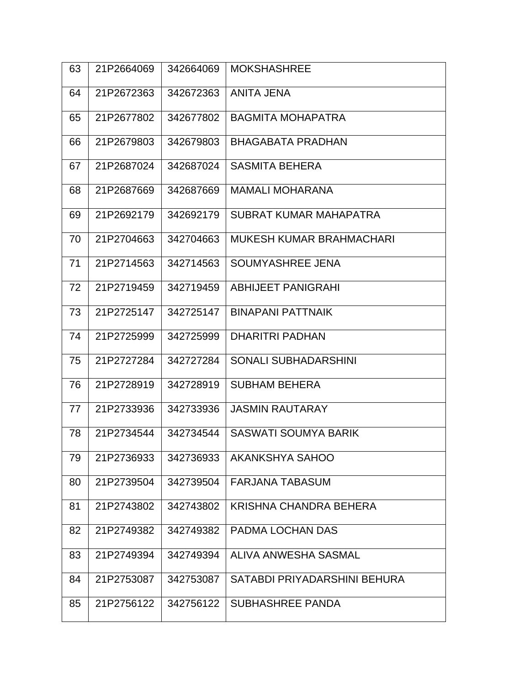| 63 | 21P2664069 | 342664069 | <b>MOKSHASHREE</b>           |
|----|------------|-----------|------------------------------|
| 64 | 21P2672363 | 342672363 | ANITA JENA                   |
| 65 | 21P2677802 | 342677802 | <b>BAGMITA MOHAPATRA</b>     |
| 66 | 21P2679803 | 342679803 | <b>BHAGABATA PRADHAN</b>     |
| 67 | 21P2687024 | 342687024 | <b>SASMITA BEHERA</b>        |
| 68 | 21P2687669 | 342687669 | <b>MAMALI MOHARANA</b>       |
| 69 | 21P2692179 | 342692179 | SUBRAT KUMAR MAHAPATRA       |
| 70 | 21P2704663 | 342704663 | MUKESH KUMAR BRAHMACHARI     |
| 71 | 21P2714563 | 342714563 | SOUMYASHREE JENA             |
| 72 | 21P2719459 | 342719459 | <b>ABHIJEET PANIGRAHI</b>    |
| 73 | 21P2725147 | 342725147 | <b>BINAPANI PATTNAIK</b>     |
| 74 | 21P2725999 | 342725999 | <b>DHARITRI PADHAN</b>       |
| 75 | 21P2727284 | 342727284 | <b>SONALI SUBHADARSHINI</b>  |
| 76 | 21P2728919 | 342728919 | <b>SUBHAM BEHERA</b>         |
| 77 | 21P2733936 | 342733936 | <b>JASMIN RAUTARAY</b>       |
| 78 | 21P2734544 | 342734544 | <b>SASWATI SOUMYA BARIK</b>  |
| 79 | 21P2736933 | 342736933 | AKANKSHYA SAHOO              |
| 80 | 21P2739504 | 342739504 | FARJANA TABASUM              |
| 81 | 21P2743802 | 342743802 | KRISHNA CHANDRA BEHERA       |
| 82 | 21P2749382 | 342749382 | <b>PADMA LOCHAN DAS</b>      |
| 83 | 21P2749394 | 342749394 | ALIVA ANWESHA SASMAL         |
| 84 | 21P2753087 | 342753087 | SATABDI PRIYADARSHINI BEHURA |
| 85 | 21P2756122 | 342756122 | <b>SUBHASHREE PANDA</b>      |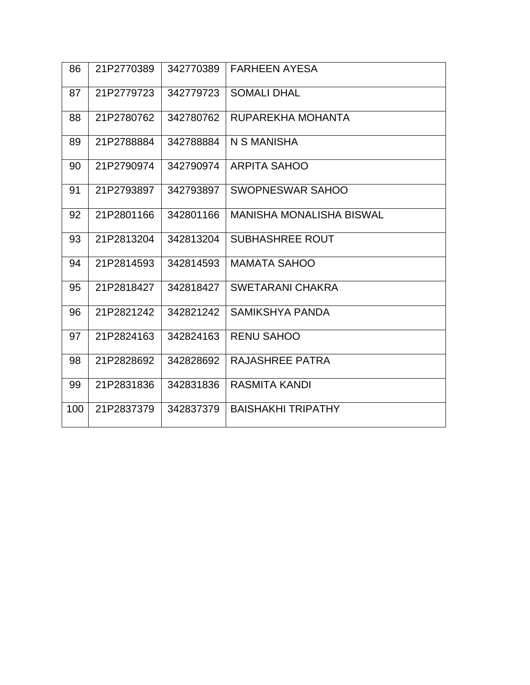| 86  | 21P2770389 | 342770389 | <b>FARHEEN AYESA</b>            |
|-----|------------|-----------|---------------------------------|
| 87  | 21P2779723 | 342779723 | <b>SOMALI DHAL</b>              |
| 88  | 21P2780762 | 342780762 | RUPAREKHA MOHANTA               |
| 89  | 21P2788884 | 342788884 | N S MANISHA                     |
| 90  | 21P2790974 | 342790974 | <b>ARPITA SAHOO</b>             |
| 91  | 21P2793897 | 342793897 | SWOPNESWAR SAHOO                |
| 92  | 21P2801166 | 342801166 | <b>MANISHA MONALISHA BISWAL</b> |
| 93  | 21P2813204 | 342813204 | <b>SUBHASHREE ROUT</b>          |
| 94  | 21P2814593 | 342814593 | <b>MAMATA SAHOO</b>             |
| 95  | 21P2818427 | 342818427 | <b>SWETARANI CHAKRA</b>         |
| 96  | 21P2821242 | 342821242 | <b>SAMIKSHYA PANDA</b>          |
| 97  | 21P2824163 | 342824163 | <b>RENU SAHOO</b>               |
| 98  | 21P2828692 | 342828692 | RAJASHREE PATRA                 |
| 99  | 21P2831836 | 342831836 | <b>RASMITA KANDI</b>            |
| 100 | 21P2837379 | 342837379 | <b>BAISHAKHI TRIPATHY</b>       |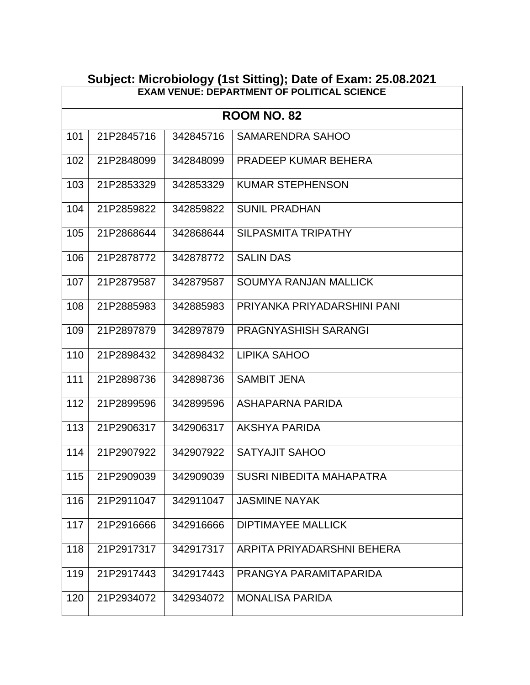|     | Subject: Microbiology (1st Sitting); Date of Exam: 25.08.2021 |           |                                 |  |  |
|-----|---------------------------------------------------------------|-----------|---------------------------------|--|--|
|     | <b>EXAM VENUE: DEPARTMENT OF POLITICAL SCIENCE</b>            |           |                                 |  |  |
|     |                                                               |           | <b>ROOM NO. 82</b>              |  |  |
| 101 | 21P2845716                                                    | 342845716 | <b>SAMARENDRA SAHOO</b>         |  |  |
| 102 | 21P2848099                                                    | 342848099 | PRADEEP KUMAR BEHERA            |  |  |
| 103 | 21P2853329                                                    | 342853329 | <b>KUMAR STEPHENSON</b>         |  |  |
| 104 | 21P2859822                                                    | 342859822 | <b>SUNIL PRADHAN</b>            |  |  |
| 105 | 21P2868644                                                    | 342868644 | <b>SILPASMITA TRIPATHY</b>      |  |  |
| 106 | 21P2878772                                                    | 342878772 | <b>SALIN DAS</b>                |  |  |
| 107 | 21P2879587                                                    | 342879587 | <b>SOUMYA RANJAN MALLICK</b>    |  |  |
| 108 | 21P2885983                                                    | 342885983 | PRIYANKA PRIYADARSHINI PANI     |  |  |
| 109 | 21P2897879                                                    | 342897879 | PRAGNYASHISH SARANGI            |  |  |
| 110 | 21P2898432                                                    | 342898432 | <b>LIPIKA SAHOO</b>             |  |  |
| 111 | 21P2898736                                                    | 342898736 | <b>SAMBIT JENA</b>              |  |  |
| 112 | 21P2899596                                                    | 342899596 | ASHAPARNA PARIDA                |  |  |
| 113 | 21P2906317                                                    | 342906317 | <b>AKSHYA PARIDA</b>            |  |  |
| 114 | 21P2907922                                                    | 342907922 | SATYAJIT SAHOO                  |  |  |
| 115 | 21P2909039                                                    | 342909039 | <b>SUSRI NIBEDITA MAHAPATRA</b> |  |  |
| 116 | 21P2911047                                                    | 342911047 | <b>JASMINE NAYAK</b>            |  |  |
| 117 | 21P2916666                                                    | 342916666 | <b>DIPTIMAYEE MALLICK</b>       |  |  |
| 118 | 21P2917317                                                    | 342917317 | ARPITA PRIYADARSHNI BEHERA      |  |  |
| 119 | 21P2917443                                                    | 342917443 | PRANGYA PARAMITAPARIDA          |  |  |
| 120 | 21P2934072                                                    | 342934072 | <b>MONALISA PARIDA</b>          |  |  |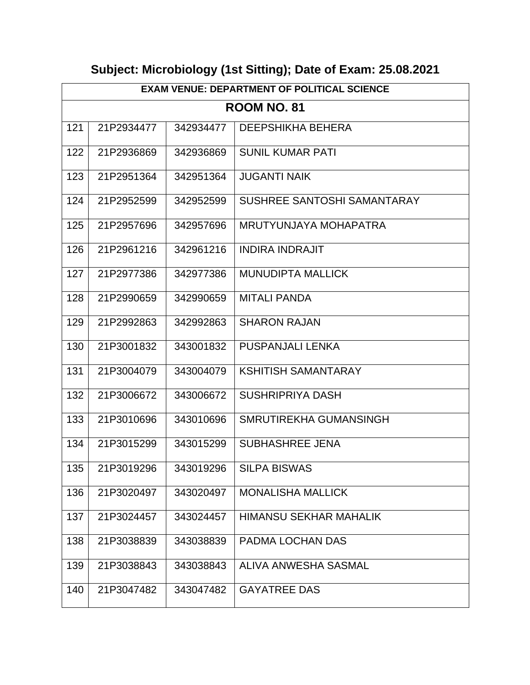| <b>EXAM VENUE: DEPARTMENT OF POLITICAL SCIENCE</b> |            |           |                             |
|----------------------------------------------------|------------|-----------|-----------------------------|
|                                                    |            |           | <b>ROOM NO. 81</b>          |
| 121                                                | 21P2934477 | 342934477 | <b>DEEPSHIKHA BEHERA</b>    |
| 122                                                | 21P2936869 | 342936869 | <b>SUNIL KUMAR PATI</b>     |
| 123                                                | 21P2951364 | 342951364 | <b>JUGANTI NAIK</b>         |
| 124                                                | 21P2952599 | 342952599 | SUSHREE SANTOSHI SAMANTARAY |
| 125                                                | 21P2957696 | 342957696 | MRUTYUNJAYA MOHAPATRA       |
| 126                                                | 21P2961216 | 342961216 | <b>INDIRA INDRAJIT</b>      |
| 127                                                | 21P2977386 | 342977386 | <b>MUNUDIPTA MALLICK</b>    |
| 128                                                | 21P2990659 | 342990659 | <b>MITALI PANDA</b>         |
| 129                                                | 21P2992863 | 342992863 | <b>SHARON RAJAN</b>         |
| 130                                                | 21P3001832 | 343001832 | PUSPANJALI LENKA            |
| 131                                                | 21P3004079 | 343004079 | <b>KSHITISH SAMANTARAY</b>  |
| 132                                                | 21P3006672 | 343006672 | <b>SUSHRIPRIYA DASH</b>     |
| 133                                                | 21P3010696 | 343010696 | SMRUTIREKHA GUMANSINGH      |
| 134                                                | 21P3015299 | 343015299 | <b>SUBHASHREE JENA</b>      |
| 135                                                | 21P3019296 |           | 343019296 SILPA BISWAS      |
| 136                                                | 21P3020497 | 343020497 | <b>MONALISHA MALLICK</b>    |
| 137                                                | 21P3024457 | 343024457 | HIMANSU SEKHAR MAHALIK      |
| 138                                                | 21P3038839 | 343038839 | PADMA LOCHAN DAS            |
| 139                                                | 21P3038843 | 343038843 | ALIVA ANWESHA SASMAL        |
| 140                                                | 21P3047482 | 343047482 | <b>GAYATREE DAS</b>         |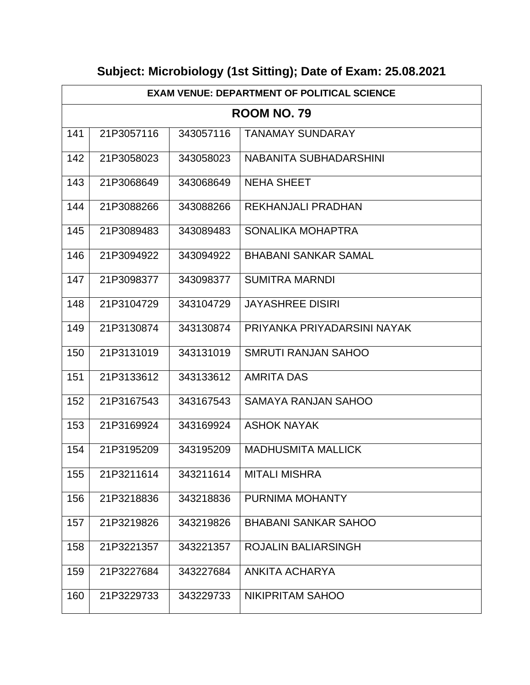| <b>EXAM VENUE: DEPARTMENT OF POLITICAL SCIENCE</b> |            |           |                             |
|----------------------------------------------------|------------|-----------|-----------------------------|
|                                                    |            |           | <b>ROOM NO. 79</b>          |
| 141                                                | 21P3057116 | 343057116 | <b>TANAMAY SUNDARAY</b>     |
| 142                                                | 21P3058023 | 343058023 | NABANITA SUBHADARSHINI      |
| 143                                                | 21P3068649 | 343068649 | <b>NEHA SHEET</b>           |
| 144                                                | 21P3088266 | 343088266 | REKHANJALI PRADHAN          |
| 145                                                | 21P3089483 | 343089483 | SONALIKA MOHAPTRA           |
| 146                                                | 21P3094922 | 343094922 | <b>BHABANI SANKAR SAMAL</b> |
| 147                                                | 21P3098377 | 343098377 | <b>SUMITRA MARNDI</b>       |
| 148                                                | 21P3104729 | 343104729 | <b>JAYASHREE DISIRI</b>     |
| 149                                                | 21P3130874 | 343130874 | PRIYANKA PRIYADARSINI NAYAK |
| 150                                                | 21P3131019 | 343131019 | <b>SMRUTI RANJAN SAHOO</b>  |
| 151                                                | 21P3133612 | 343133612 | <b>AMRITA DAS</b>           |
| 152                                                | 21P3167543 | 343167543 | <b>SAMAYA RANJAN SAHOO</b>  |
| 153                                                | 21P3169924 | 343169924 | <b>ASHOK NAYAK</b>          |
| 154                                                | 21P3195209 | 343195209 | <b>MADHUSMITA MALLICK</b>   |
| 155                                                | 21P3211614 | 343211614 | <b>MITALI MISHRA</b>        |
| 156                                                | 21P3218836 | 343218836 | PURNIMA MOHANTY             |
| 157                                                | 21P3219826 | 343219826 | <b>BHABANI SANKAR SAHOO</b> |
| 158                                                | 21P3221357 | 343221357 | <b>ROJALIN BALIARSINGH</b>  |
| 159                                                | 21P3227684 | 343227684 | ANKITA ACHARYA              |
| 160                                                | 21P3229733 | 343229733 | NIKIPRITAM SAHOO            |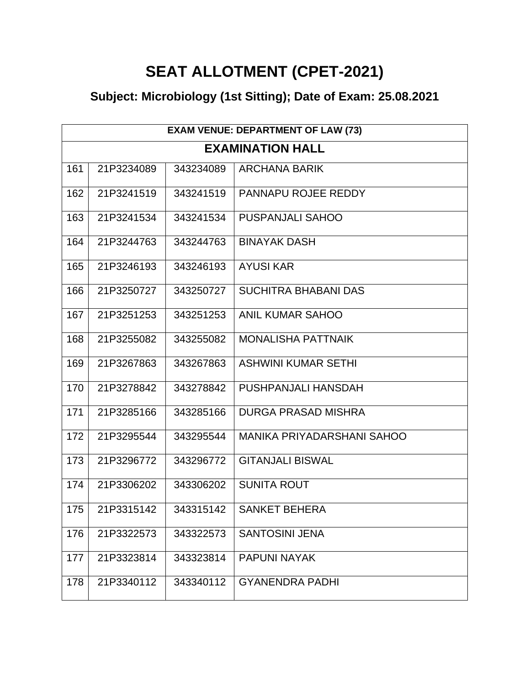## **SEAT ALLOTMENT (CPET-2021)**

|     | <b>EXAM VENUE: DEPARTMENT OF LAW (73)</b> |           |                                   |  |  |
|-----|-------------------------------------------|-----------|-----------------------------------|--|--|
|     | <b>EXAMINATION HALL</b>                   |           |                                   |  |  |
| 161 | 21P3234089                                | 343234089 | <b>ARCHANA BARIK</b>              |  |  |
| 162 | 21P3241519                                | 343241519 | PANNAPU ROJEE REDDY               |  |  |
| 163 | 21P3241534                                | 343241534 | <b>PUSPANJALI SAHOO</b>           |  |  |
| 164 | 21P3244763                                | 343244763 | <b>BINAYAK DASH</b>               |  |  |
| 165 | 21P3246193                                | 343246193 | <b>AYUSI KAR</b>                  |  |  |
| 166 | 21P3250727                                | 343250727 | <b>SUCHITRA BHABANI DAS</b>       |  |  |
| 167 | 21P3251253                                | 343251253 | <b>ANIL KUMAR SAHOO</b>           |  |  |
| 168 | 21P3255082                                | 343255082 | MONALISHA PATTNAIK                |  |  |
| 169 | 21P3267863                                | 343267863 | <b>ASHWINI KUMAR SETHI</b>        |  |  |
| 170 | 21P3278842                                | 343278842 | PUSHPANJALI HANSDAH               |  |  |
| 171 | 21P3285166                                | 343285166 | <b>DURGA PRASAD MISHRA</b>        |  |  |
| 172 | 21P3295544                                | 343295544 | <b>MANIKA PRIYADARSHANI SAHOO</b> |  |  |
| 173 | 21P3296772                                | 343296772 | <b>GITANJALI BISWAL</b>           |  |  |
| 174 | 21P3306202                                | 343306202 | <b>SUNITA ROUT</b>                |  |  |
| 175 | 21P3315142                                | 343315142 | <b>SANKET BEHERA</b>              |  |  |
| 176 | 21P3322573                                | 343322573 | <b>SANTOSINI JENA</b>             |  |  |
| 177 | 21P3323814                                | 343323814 | PAPUNI NAYAK                      |  |  |
| 178 | 21P3340112                                | 343340112 | <b>GYANENDRA PADHI</b>            |  |  |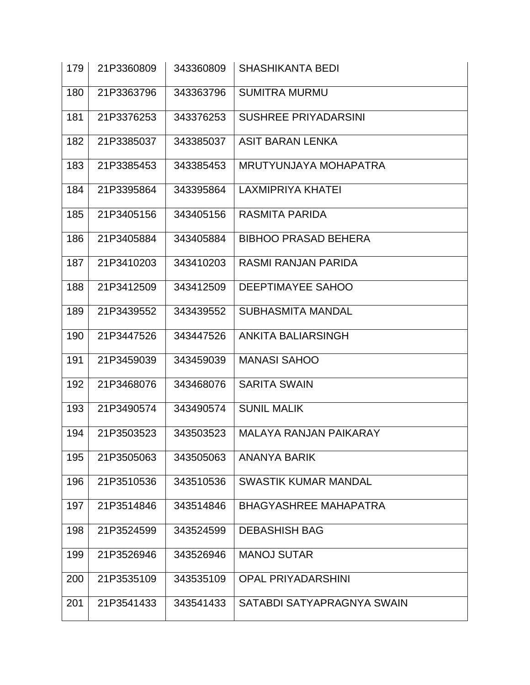| 179 | 21P3360809 | 343360809 | <b>SHASHIKANTA BEDI</b>       |
|-----|------------|-----------|-------------------------------|
| 180 | 21P3363796 | 343363796 | <b>SUMITRA MURMU</b>          |
| 181 | 21P3376253 | 343376253 | <b>SUSHREE PRIYADARSINI</b>   |
| 182 | 21P3385037 | 343385037 | <b>ASIT BARAN LENKA</b>       |
| 183 | 21P3385453 | 343385453 | MRUTYUNJAYA MOHAPATRA         |
| 184 | 21P3395864 | 343395864 | <b>LAXMIPRIYA KHATEI</b>      |
| 185 | 21P3405156 | 343405156 | <b>RASMITA PARIDA</b>         |
| 186 | 21P3405884 | 343405884 | <b>BIBHOO PRASAD BEHERA</b>   |
| 187 | 21P3410203 | 343410203 | RASMI RANJAN PARIDA           |
| 188 | 21P3412509 | 343412509 | <b>DEEPTIMAYEE SAHOO</b>      |
| 189 | 21P3439552 | 343439552 | <b>SUBHASMITA MANDAL</b>      |
| 190 | 21P3447526 | 343447526 | <b>ANKITA BALIARSINGH</b>     |
| 191 | 21P3459039 | 343459039 | <b>MANASI SAHOO</b>           |
| 192 | 21P3468076 | 343468076 | <b>SARITA SWAIN</b>           |
| 193 | 21P3490574 | 343490574 | <b>SUNIL MALIK</b>            |
| 194 | 21P3503523 | 343503523 | <b>MALAYA RANJAN PAIKARAY</b> |
| 195 | 21P3505063 | 343505063 | <b>ANANYA BARIK</b>           |
| 196 | 21P3510536 | 343510536 | <b>SWASTIK KUMAR MANDAL</b>   |
| 197 | 21P3514846 | 343514846 | <b>BHAGYASHREE MAHAPATRA</b>  |
| 198 | 21P3524599 | 343524599 | <b>DEBASHISH BAG</b>          |
| 199 | 21P3526946 | 343526946 | <b>MANOJ SUTAR</b>            |
| 200 | 21P3535109 | 343535109 | <b>OPAL PRIYADARSHINI</b>     |
| 201 | 21P3541433 | 343541433 | SATABDI SATYAPRAGNYA SWAIN    |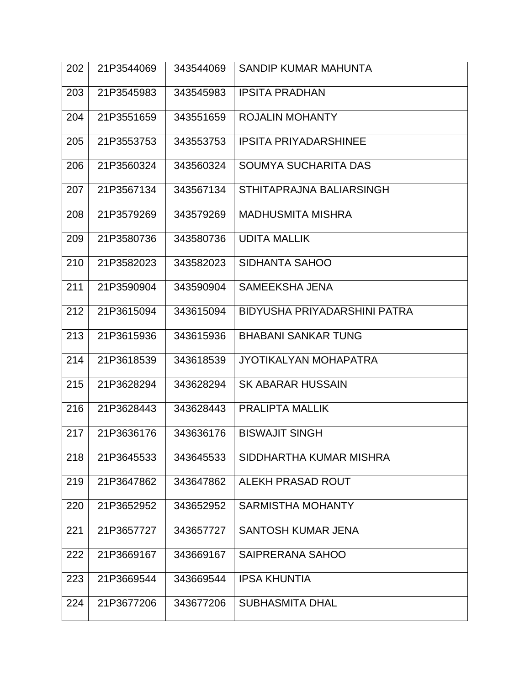| 21P3544069 | 343544069 | SANDIP KUMAR MAHUNTA         |
|------------|-----------|------------------------------|
| 21P3545983 | 343545983 | <b>IPSITA PRADHAN</b>        |
| 21P3551659 | 343551659 | <b>ROJALIN MOHANTY</b>       |
| 21P3553753 | 343553753 | <b>IPSITA PRIYADARSHINEE</b> |
| 21P3560324 | 343560324 | <b>SOUMYA SUCHARITA DAS</b>  |
| 21P3567134 | 343567134 | STHITAPRAJNA BALIARSINGH     |
| 21P3579269 | 343579269 | <b>MADHUSMITA MISHRA</b>     |
| 21P3580736 | 343580736 | <b>UDITA MALLIK</b>          |
| 21P3582023 | 343582023 | <b>SIDHANTA SAHOO</b>        |
| 21P3590904 | 343590904 | <b>SAMEEKSHA JENA</b>        |
| 21P3615094 | 343615094 | BIDYUSHA PRIYADARSHINI PATRA |
| 21P3615936 | 343615936 | <b>BHABANI SANKAR TUNG</b>   |
| 21P3618539 | 343618539 | JYOTIKALYAN MOHAPATRA        |
| 21P3628294 | 343628294 | <b>SK ABARAR HUSSAIN</b>     |
| 21P3628443 | 343628443 | <b>PRALIPTA MALLIK</b>       |
| 21P3636176 | 343636176 | <b>BISWAJIT SINGH</b>        |
| 21P3645533 | 343645533 | SIDDHARTHA KUMAR MISHRA      |
| 21P3647862 | 343647862 | ALEKH PRASAD ROUT            |
| 21P3652952 | 343652952 | <b>SARMISTHA MOHANTY</b>     |
| 21P3657727 | 343657727 | <b>SANTOSH KUMAR JENA</b>    |
| 21P3669167 | 343669167 | <b>SAIPRERANA SAHOO</b>      |
| 21P3669544 | 343669544 | <b>IPSA KHUNTIA</b>          |
| 21P3677206 | 343677206 | <b>SUBHASMITA DHAL</b>       |
|            |           |                              |